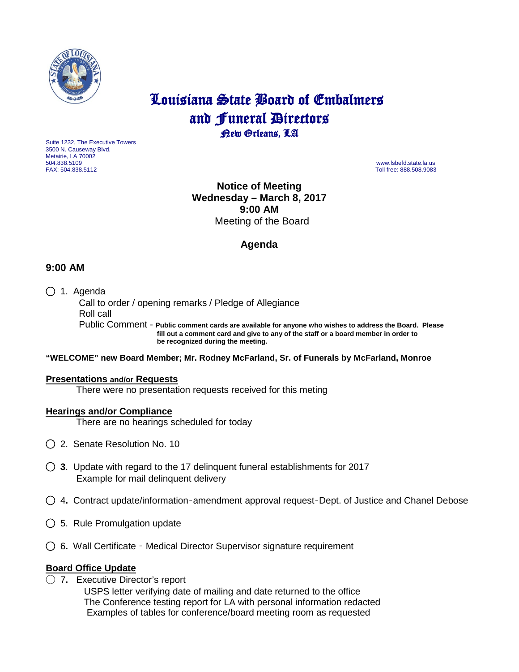

# Louisiana State Board of Embalmers and **Funeral Directors**<br>**Rew Orleans**, LA

Suite 1232, The Executive Towers 3500 N. Causeway Blvd. Metairie, LA 70002 504.838.5109 www.lsbefd.state.la.us

Toll free: 888.508.9083

**Notice of Meeting Wednesday – March 8, 2017 9:00 AM**  Meeting of the Board

## **Agenda**

## **9:00 AM**

◯ 1. Agenda

 Call to order / opening remarks / Pledge of Allegiance Roll call Public Comment - **Public comment cards are available for anyone who wishes to address the Board. Please fill out a comment card and give to any of the staff or a board member in order to be recognized during the meeting.**

#### **"WELCOME" new Board Member; Mr. Rodney McFarland, Sr. of Funerals by McFarland, Monroe**

#### **Presentations and/or Requests**

There were no presentation requests received for this meting

#### **Hearings and/or Compliance**

There are no hearings scheduled for today

- ◯2. Senate Resolution No. 10
- ◯ **3**. Update with regard to the 17 delinquent funeral establishments for 2017 Example for mail delinquent delivery
- ◯ 4**.** Contract update/information–amendment approval request–Dept. of Justice and Chanel Debose
- ◯5.Rule Promulgation update
- ◯6**.** Wall Certificate Medical Director Supervisor signature requirement

#### **Board Office Update**

◯ 7**.** Executive Director's report

 USPS letter verifying date of mailing and date returned to the office The Conference testing report for LA with personal information redacted Examples of tables for conference/board meeting room as requested